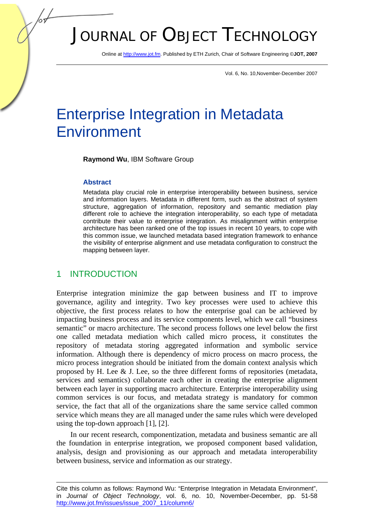# JOURNAL OF OBJECT TECHNOLOGY

Online at http://www.jot.fm. Published by ETH Zurich, Chair of Software Engineering ©**JOT, 2007** 

Vol. 6, No. 10,November-December 2007

## Enterprise Integration in Metadata **Environment**

**Raymond Wu**, IBM Software Group

#### **Abstract**

Metadata play crucial role in enterprise interoperability between business, service and information layers. Metadata in different form, such as the abstract of system structure, aggregation of information, repository and semantic mediation play different role to achieve the integration interoperability, so each type of metadata contribute their value to enterprise integration. As misalignment within enterprise architecture has been ranked one of the top issues in recent 10 years, to cope with this common issue, we launched metadata based integration framework to enhance the visibility of enterprise alignment and use metadata configuration to construct the mapping between layer.

#### 1 INTRODUCTION

Enterprise integration minimize the gap between business and IT to improve governance, agility and integrity. Two key processes were used to achieve this objective, the first process relates to how the enterprise goal can be achieved by impacting business process and its service components level, which we call "business semantic" or macro architecture. The second process follows one level below the first one called metadata mediation which called micro process, it constitutes the repository of metadata storing aggregated information and symbolic service information. Although there is dependency of micro process on macro process, the micro process integration should be initiated from the domain context analysis which proposed by H. Lee  $\&$  J. Lee, so the three different forms of repositories (metadata, services and semantics) collaborate each other in creating the enterprise alignment between each layer in supporting macro architecture. Enterprise interoperability using common services is our focus, and metadata strategy is mandatory for common service, the fact that all of the organizations share the same service called common service which means they are all managed under the same rules which were developed using the top-down approach [1], [2].

In our recent research, componentization, metadata and business semantic are all the foundation in enterprise integration, we proposed component based validation, analysis, design and provisioning as our approach and metadata interoperability between business, service and information as our strategy.

Cite this column as follows: Raymond Wu: "Enterprise Integration in Metadata Environment", in *Journal of Object Technology*, vol. 6, no. 10, November-December, pp. 51-58 http://www.jot.fm/issues/issue\_2007\_11/column6/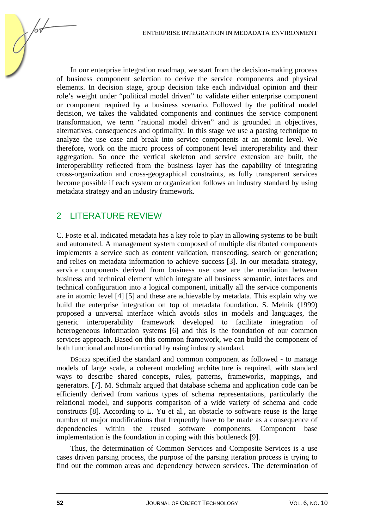In our enterprise integration roadmap, we start from the decision-making process of business component selection to derive the service components and physical elements. In decision stage, group decision take each individual opinion and their role's weight under "political model driven" to validate either enterprise component or component required by a business scenario. Followed by the political model decision, we takes the validated components and continues the service component transformation, we term "rational model driven" and is grounded in objectives, alternatives, consequences and optimality. In this stage we use a parsing technique to analyze the use case and break into service components at an atomic level. We therefore, work on the micro process of component level interoperability and their aggregation. So once the vertical skeleton and service extension are built, the interoperability reflected from the business layer has the capability of integrating cross-organization and cross-geographical constraints, as fully transparent services become possible if each system or organization follows an industry standard by using metadata strategy and an industry framework.

#### 2 LITERATURE REVIEW

C. Foste et al. indicated metadata has a key role to play in allowing systems to be built and automated. A management system composed of multiple distributed components implements a service such as content validation, transcoding, search or generation; and relies on metadata information to achieve success [3]. In our metadata strategy, service components derived from business use case are the mediation between business and technical element which integrate all business semantic, interfaces and technical configuration into a logical component, initially all the service components are in atomic level [4] [5] and these are achievable by metadata. This explain why we build the enterprise integration on top of metadata foundation. S. Melnik (1999) proposed a universal interface which avoids silos in models and languages, the generic interoperability framework developed to facilitate integration of heterogeneous information systems [6] and this is the foundation of our common services approach. Based on this common framework, we can build the component of both functional and non-functional by using industry standard.

DSouza specified the standard and common component as followed - to manage models of large scale, a coherent modeling architecture is required, with standard ways to describe shared concepts, rules, patterns, frameworks, mappings, and generators. [7]. M. Schmalz argued that database schema and application code can be efficiently derived from various types of schema representations, particularly the relational model, and supports comparison of a wide variety of schema and code constructs [8]. According to L. Yu et al., an obstacle to software reuse is the large number of major modifications that frequently have to be made as a consequence of dependencies within the reused software components. Component base implementation is the foundation in coping with this bottleneck [9].

Thus, the determination of Common Services and Composite Services is a use cases driven parsing process, the purpose of the parsing iteration process is trying to find out the common areas and dependency between services. The determination of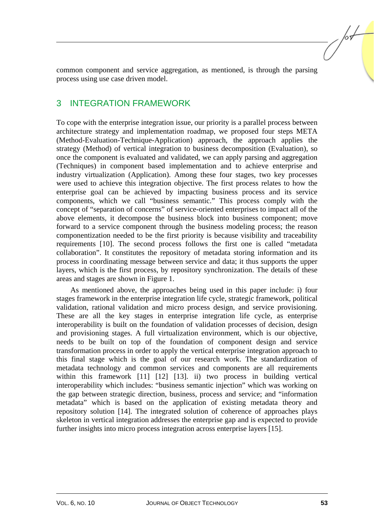common component and service aggregation, as mentioned, is through the parsing process using use case driven model.

### 3 INTEGRATION FRAMEWORK

To cope with the enterprise integration issue, our priority is a parallel process between architecture strategy and implementation roadmap, we proposed four steps META (Method-Evaluation-Technique-Application) approach, the approach applies the strategy (Method) of vertical integration to business decomposition (Evaluation), so once the component is evaluated and validated, we can apply parsing and aggregation (Techniques) in component based implementation and to achieve enterprise and industry virtualization (Application). Among these four stages, two key processes were used to achieve this integration objective. The first process relates to how the enterprise goal can be achieved by impacting business process and its service components, which we call "business semantic." This process comply with the concept of "separation of concerns" of service-oriented enterprises to impact all of the above elements, it decompose the business block into business component; move forward to a service component through the business modeling process; the reason componentization needed to be the first priority is because visibility and traceability requirements [10]. The second process follows the first one is called "metadata collaboration". It constitutes the repository of metadata storing information and its process in coordinating message between service and data; it thus supports the upper layers, which is the first process, by repository synchronization. The details of these areas and stages are shown in Figure 1.

As mentioned above, the approaches being used in this paper include: i) four stages framework in the enterprise integration life cycle, strategic framework, political validation, rational validation and micro process design, and service provisioning. These are all the key stages in enterprise integration life cycle, as enterprise interoperability is built on the foundation of validation processes of decision, design and provisioning stages. A full virtualization environment, which is our objective, needs to be built on top of the foundation of component design and service transformation process in order to apply the vertical enterprise integration approach to this final stage which is the goal of our research work. The standardization of metadata technology and common services and components are all requirements within this framework [11] [12] [13]. ii) two process in building vertical interoperability which includes: "business semantic injection" which was working on the gap between strategic direction, business, process and service; and "information metadata" which is based on the application of existing metadata theory and repository solution [14]. The integrated solution of coherence of approaches plays skeleton in vertical integration addresses the enterprise gap and is expected to provide further insights into micro process integration across enterprise layers [15].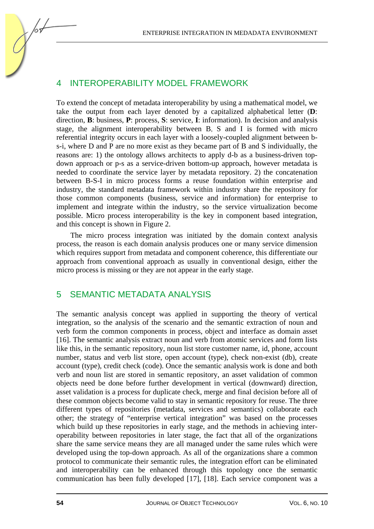ENTERPRISE INTEGRATION IN MEDADATA ENVIRONMENT

#### INTEROPERABILITY MODEL FRAMEWORK

To extend the concept of metadata interoperability by using a mathematical model, we take the output from each layer denoted by a capitalized alphabetical letter (**D**: direction, **B**: business, **P**: process, **S**: service, **I**: information). In decision and analysis stage, the alignment interoperability between B, S and I is formed with micro referential integrity occurs in each layer with a loosely-coupled alignment between bs-i, where D and P are no more exist as they became part of B and S individually, the reasons are: 1) the ontology allows architects to apply d-b as a business-driven topdown approach or p-s as a service-driven bottom-up approach, however metadata is needed to coordinate the service layer by metadata repository. 2) the concatenation between B-S-I in micro process forms a reuse foundation within enterprise and industry, the standard metadata framework within industry share the repository for those common components (business, service and information) for enterprise to implement and integrate within the industry, so the service virtualization become possible. Micro process interoperability is the key in component based integration, and this concept is shown in Figure 2.

The micro process integration was initiated by the domain context analysis process, the reason is each domain analysis produces one or many service dimension which requires support from metadata and component coherence, this differentiate our approach from conventional approach as usually in conventional design, either the micro process is missing or they are not appear in the early stage.

#### 5 SEMANTIC METADATA ANALYSIS

The semantic analysis concept was applied in supporting the theory of vertical integration, so the analysis of the scenario and the semantic extraction of noun and verb form the common components in process, object and interface as domain asset [16]. The semantic analysis extract noun and verb from atomic services and form lists like this, in the semantic repository, noun list store customer name, id, phone, account number, status and verb list store, open account (type), check non-exist (db), create account (type), credit check (code). Once the semantic analysis work is done and both verb and noun list are stored in semantic repository, an asset validation of common objects need be done before further development in vertical (downward) direction, asset validation is a process for duplicate check, merge and final decision before all of these common objects become valid to stay in semantic repository for reuse. The three different types of repositories (metadata, services and semantics) collaborate each other; the strategy of "enterprise vertical integration" was based on the processes which build up these repositories in early stage, and the methods in achieving interoperability between repositories in later stage, the fact that all of the organizations share the same service means they are all managed under the same rules which were developed using the top-down approach. As all of the organizations share a common protocol to communicate their semantic rules, the integration effort can be eliminated and interoperability can be enhanced through this topology once the semantic communication has been fully developed [17], [18]. Each service component was a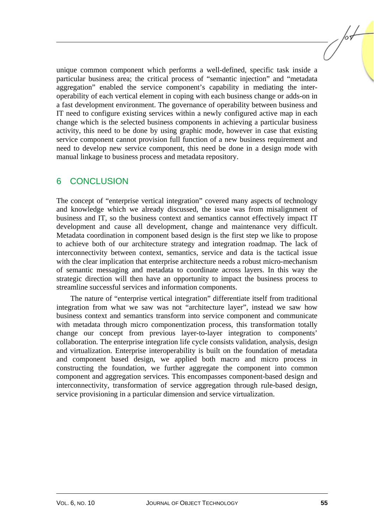unique common component which performs a well-defined, specific task inside a particular business area; the critical process of "semantic injection" and "metadata aggregation" enabled the service component's capability in mediating the interoperability of each vertical element in coping with each business change or adds-on in a fast development environment. The governance of operability between business and IT need to configure existing services within a newly configured active map in each change which is the selected business components in achieving a particular business activity, this need to be done by using graphic mode, however in case that existing service component cannot provision full function of a new business requirement and need to develop new service component, this need be done in a design mode with manual linkage to business process and metadata repository.

#### 6 CONCLUSION

The concept of "enterprise vertical integration" covered many aspects of technology and knowledge which we already discussed, the issue was from misalignment of business and IT, so the business context and semantics cannot effectively impact IT development and cause all development, change and maintenance very difficult. Metadata coordination in component based design is the first step we like to propose to achieve both of our architecture strategy and integration roadmap. The lack of interconnectivity between context, semantics, service and data is the tactical issue with the clear implication that enterprise architecture needs a robust micro-mechanism of semantic messaging and metadata to coordinate across layers. In this way the strategic direction will then have an opportunity to impact the business process to streamline successful services and information components.

The nature of "enterprise vertical integration" differentiate itself from traditional integration from what we saw was not "architecture layer", instead we saw how business context and semantics transform into service component and communicate with metadata through micro componentization process, this transformation totally change our concept from previous layer-to-layer integration to components' collaboration. The enterprise integration life cycle consists validation, analysis, design and virtualization. Enterprise interoperability is built on the foundation of metadata and component based design, we applied both macro and micro process in constructing the foundation, we further aggregate the component into common component and aggregation services. This encompasses component-based design and interconnectivity, transformation of service aggregation through rule-based design, service provisioning in a particular dimension and service virtualization.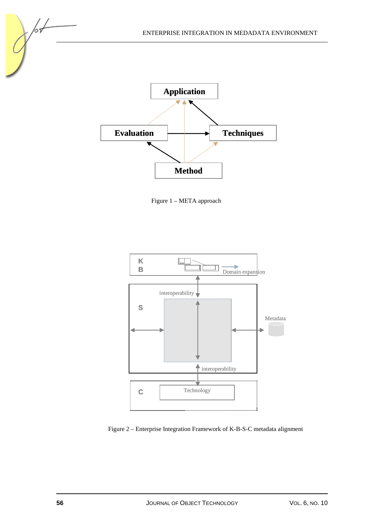

Figure 1 – META approach

**Method**



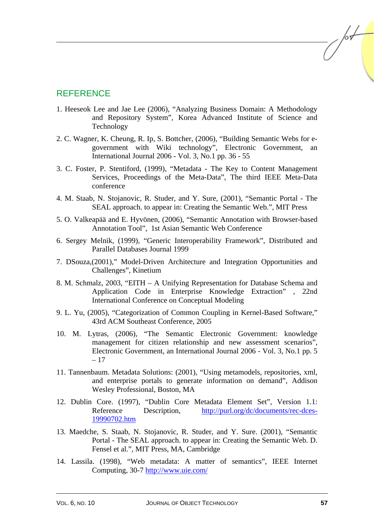#### **REFERENCE**

- 1. Heeseok Lee and Jae Lee (2006), "Analyzing Business Domain: A Methodology and Repository System", Korea Advanced Institute of Science and Technology
- 2. C. Wagner, K. Cheung, R. Ip, S. Bottcher, (2006), "Building Semantic Webs for egovernment with Wiki technology", Electronic Government, an International Journal 2006 - Vol. 3, No.1 pp. 36 - 55
- 3. C. Foster, P. Stentiford, (1999), "Metadata The Key to Content Management Services, Proceedings of the Meta-Data", The third IEEE Meta-Data conference
- 4. M. Staab, N. Stojanovic, R. Studer, and Y. Sure, (2001), "Semantic Portal The SEAL approach. to appear in: Creating the Semantic Web.", MIT Press
- 5. O. Valkeapää and E. Hyvönen, (2006), "Semantic Annotation with Browser-based Annotation Tool", 1st Asian Semantic Web Conference
- 6. Sergey Melnik, (1999), "Generic Interoperability Framework", Distributed and Parallel Databases Journal 1999
- 7. DSouza,(2001)," Model-Driven Architecture and Integration Opportunities and Challenges", Kinetium
- 8. M. Schmalz, 2003, "EITH A Unifying Representation for Database Schema and Application Code in Enterprise Knowledge Extraction" , 22nd International Conference on Conceptual Modeling
- 9. L. Yu, (2005), "Categorization of Common Coupling in Kernel-Based Software," 43rd ACM Southeast Conference, 2005
- 10. M. Lytras, (2006), "The Semantic Electronic Government: knowledge management for citizen relationship and new assessment scenarios", Electronic Government, an International Journal 2006 - Vol. 3, No.1 pp. 5 – 17
- 11. Tannenbaum. Metadata Solutions: (2001), "Using metamodels, repositories, xml, and enterprise portals to generate information on demand", Addison Wesley Professional, Boston, MA
- 12. Dublin Core. (1997), "Dublin Core Metadata Element Set", Version 1.1: Reference Description, http://purl.org/dc/documents/rec-dces-19990702.htm
- 13. Maedche, S. Staab, N. Stojanovic, R. Studer, and Y. Sure. (2001), "Semantic Portal - The SEAL approach. to appear in: Creating the Semantic Web. D. Fensel et al.", MIT Press, MA, Cambridge
- 14. Lassila. (1998), "Web metadata: A matter of semantics", IEEE Internet Computing, 30-7 http://www.uie.com/

 $\sqrt{\frac{1}{2}}$